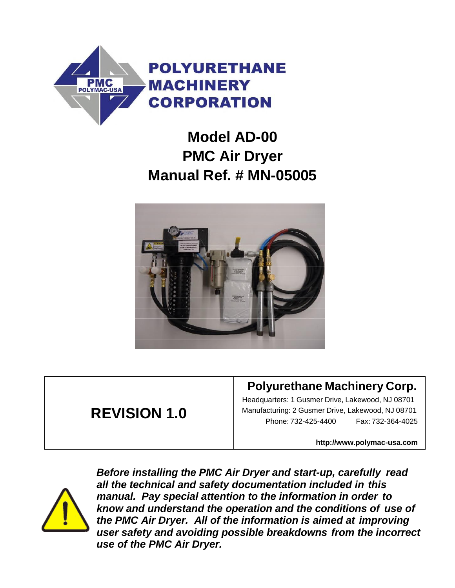

# **Model AD-00 PMC Air Dryer Manual Ref. # MN-05005**



## **REVISION 1.0**

### **Polyurethane Machinery Corp.**

Headquarters: 1 Gusmer Drive, Lakewood, NJ 08701 Manufacturing: 2 Gusmer Drive, Lakewood, NJ 08701 Phone: 732-425-4400 Fax: 732-364-4025

**[http://www.polymac-usa.com](http://www.polymac-usa.com/)**



*Before installing the PMC Air Dryer and start-up, carefully read all the technical and safety documentation included in this manual. Pay special attention to the information in order to know and understand the operation and the conditions of use of the PMC Air Dryer. All of the information is aimed at improving user safety and avoiding possible breakdowns from the incorrect use of the PMC Air Dryer.*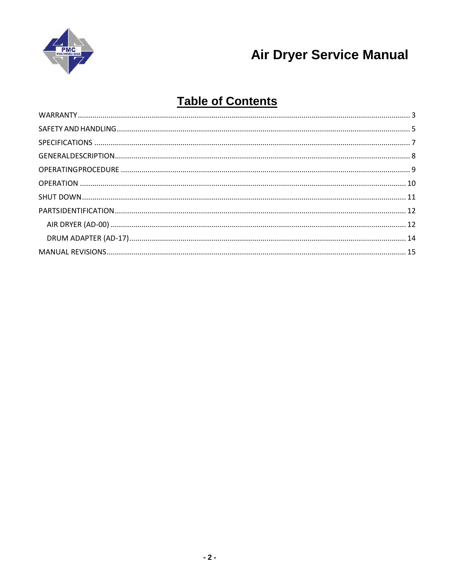

## **Table of Contents**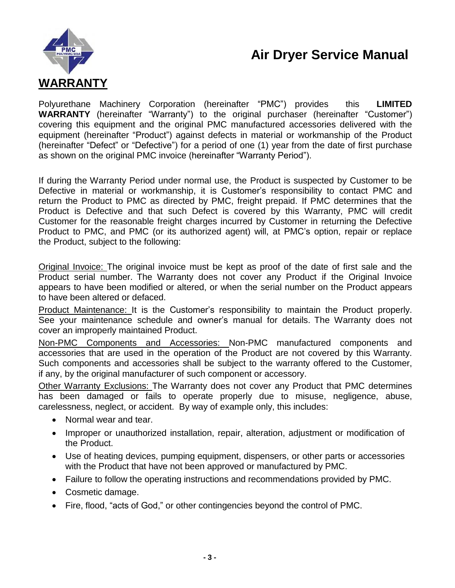

<span id="page-2-0"></span>Polyurethane Machinery Corporation (hereinafter "PMC") provides this **LIMITED WARRANTY** (hereinafter "Warranty") to the original purchaser (hereinafter "Customer") covering this equipment and the original PMC manufactured accessories delivered with the equipment (hereinafter "Product") against defects in material or workmanship of the Product (hereinafter "Defect" or "Defective") for a period of one (1) year from the date of first purchase as shown on the original PMC invoice (hereinafter "Warranty Period").

If during the Warranty Period under normal use, the Product is suspected by Customer to be Defective in material or workmanship, it is Customer's responsibility to contact PMC and return the Product to PMC as directed by PMC, freight prepaid. If PMC determines that the Product is Defective and that such Defect is covered by this Warranty, PMC will credit Customer for the reasonable freight charges incurred by Customer in returning the Defective Product to PMC, and PMC (or its authorized agent) will, at PMC's option, repair or replace the Product, subject to the following:

Original Invoice: The original invoice must be kept as proof of the date of first sale and the Product serial number. The Warranty does not cover any Product if the Original Invoice appears to have been modified or altered, or when the serial number on the Product appears to have been altered or defaced.

Product Maintenance: It is the Customer's responsibility to maintain the Product properly. See your maintenance schedule and owner's manual for details. The Warranty does not cover an improperly maintained Product.

Non-PMC Components and Accessories: Non-PMC manufactured components and accessories that are used in the operation of the Product are not covered by this Warranty. Such components and accessories shall be subject to the warranty offered to the Customer, if any, by the original manufacturer of such component or accessory.

Other Warranty Exclusions: The Warranty does not cover any Product that PMC determines has been damaged or fails to operate properly due to misuse, negligence, abuse, carelessness, neglect, or accident. By way of example only, this includes:

- Normal wear and tear.
- Improper or unauthorized installation, repair, alteration, adjustment or modification of the Product.
- Use of heating devices, pumping equipment, dispensers, or other parts or accessories with the Product that have not been approved or manufactured by PMC.
- Failure to follow the operating instructions and recommendations provided by PMC.
- Cosmetic damage.
- Fire, flood, "acts of God," or other contingencies beyond the control of PMC.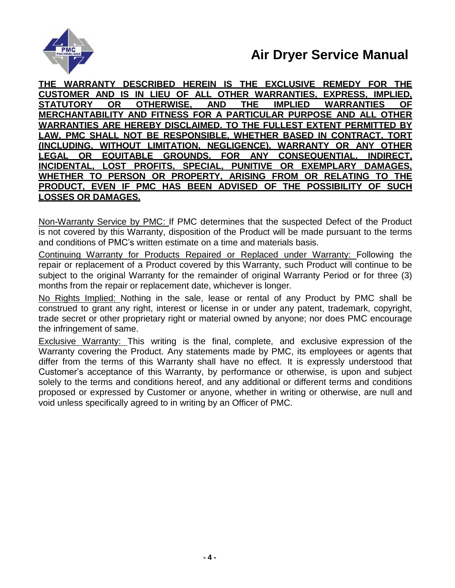

**THE WARRANTY DESCRIBED HEREIN IS THE EXCLUSIVE REMEDY FOR THE CUSTOMER AND IS IN LIEU OF ALL OTHER WARRANTIES, EXPRESS, IMPLIED, STATUTORY OR OTHERWISE, AND THE IMPLIED WARRANTIES OF MERCHANTABILITY AND FITNESS FOR A PARTICULAR PURPOSE AND ALL OTHER WARRANTIES ARE HEREBY DISCLAIMED. TO THE FULLEST EXTENT PERMITTED BY LAW, PMC SHALL NOT BE RESPONSIBLE, WHETHER BASED IN CONTRACT, TORT (INCLUDING, WITHOUT LIMITATION, NEGLIGENCE), WARRANTY OR ANY OTHER LEGAL OR EQUITABLE GROUNDS, FOR ANY CONSEQUENTIAL, INDIRECT, INCIDENTAL, LOST PROFITS, SPECIAL, PUNITIVE OR EXEMPLARY DAMAGES, WHETHER TO PERSON OR PROPERTY, ARISING FROM OR RELATING TO THE PRODUCT, EVEN IF PMC HAS BEEN ADVISED OF THE POSSIBILITY OF SUCH LOSSES OR DAMAGES.**

Non-Warranty Service by PMC: If PMC determines that the suspected Defect of the Product is not covered by this Warranty, disposition of the Product will be made pursuant to the terms and conditions of PMC's written estimate on a time and materials basis.

Continuing Warranty for Products Repaired or Replaced under Warranty: Following the repair or replacement of a Product covered by this Warranty, such Product will continue to be subject to the original Warranty for the remainder of original Warranty Period or for three (3) months from the repair or replacement date, whichever is longer.

No Rights Implied: Nothing in the sale, lease or rental of any Product by PMC shall be construed to grant any right, interest or license in or under any patent, trademark, copyright, trade secret or other proprietary right or material owned by anyone; nor does PMC encourage the infringement of same.

Exclusive Warranty: This writing is the final, complete, and exclusive expression of the Warranty covering the Product. Any statements made by PMC, its employees or agents that differ from the terms of this Warranty shall have no effect. It is expressly understood that Customer's acceptance of this Warranty, by performance or otherwise, is upon and subject solely to the terms and conditions hereof, and any additional or different terms and conditions proposed or expressed by Customer or anyone, whether in writing or otherwise, are null and void unless specifically agreed to in writing by an Officer of PMC.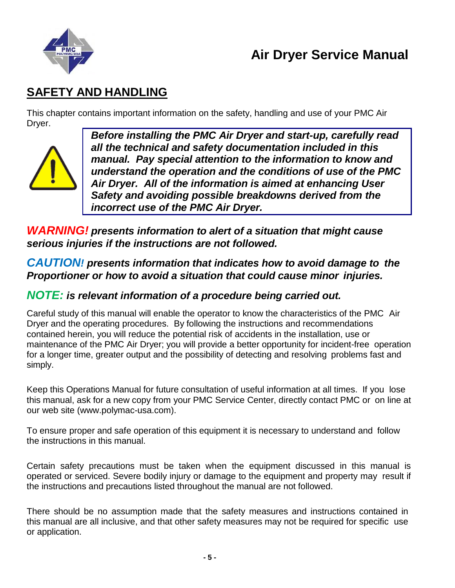

### <span id="page-4-0"></span>**SAFETY AND HANDLING**

This chapter contains important information on the safety, handling and use of your PMC Air Dryer.



*Before installing the PMC Air Dryer and start-up, carefully read all the technical and safety documentation included in this manual. Pay special attention to the information to know and understand the operation and the conditions of use of the PMC Air Dryer. All of the information is aimed at enhancing User Safety and avoiding possible breakdowns derived from the incorrect use of the PMC Air Dryer.*

*WARNING! presents information to alert of a situation that might cause serious injuries if the instructions are not followed.*

*CAUTION! presents information that indicates how to avoid damage to the Proportioner or how to avoid a situation that could cause minor injuries.*

#### *NOTE: is relevant information of a procedure being carried out.*

Careful study of this manual will enable the operator to know the characteristics of the PMC Air Dryer and the operating procedures. By following the instructions and recommendations contained herein, you will reduce the potential risk of accidents in the installation, use or maintenance of the PMC Air Dryer; you will provide a better opportunity for incident-free operation for a longer time, greater output and the possibility of detecting and resolving problems fast and simply.

Keep this Operations Manual for future consultation of useful information at all times. If you lose this manual, ask for a new copy from your PMC Service Center, directly contact PMC or on line at our web site (www.polymac-usa.com).

To ensure proper and safe operation of this equipment it is necessary to understand and follow the instructions in this manual.

Certain safety precautions must be taken when the equipment discussed in this manual is operated or serviced. Severe bodily injury or damage to the equipment and property may result if the instructions and precautions listed throughout the manual are not followed.

There should be no assumption made that the safety measures and instructions contained in this manual are all inclusive, and that other safety measures may not be required for specific use or application.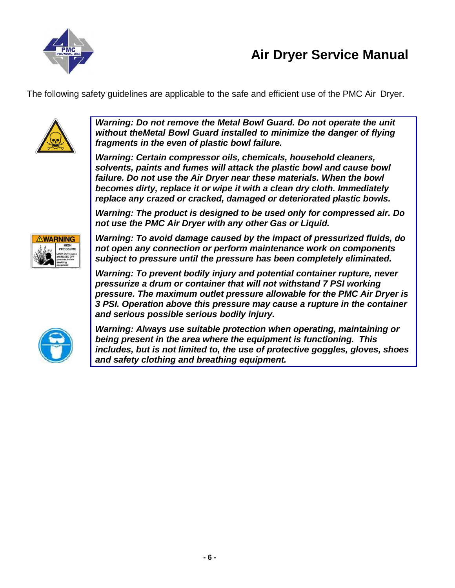

The following safety guidelines are applicable to the safe and efficient use of the PMC Air Dryer.



*Warning: Do not remove the Metal Bowl Guard. Do not operate the unit without theMetal Bowl Guard installed to minimize the danger of flying fragments in the even of plastic bowl failure.*

*Warning: Certain compressor oils, chemicals, household cleaners, solvents, paints and fumes will attack the plastic bowl and cause bowl failure. Do not use the Air Dryer near these materials. When the bowl becomes dirty, replace it or wipe it with a clean dry cloth. Immediately replace any crazed or cracked, damaged or deteriorated plastic bowls.*

*Warning: The product is designed to be used only for compressed air. Do not use the PMC Air Dryer with any other Gas or Liquid.*



*Warning: To avoid damage caused by the impact of pressurized fluids, do not open any connection or perform maintenance work on components subject to pressure until the pressure has been completely eliminated.*

*Warning: To prevent bodily injury and potential container rupture, never pressurize a drum or container that will not withstand 7 PSI working pressure. The maximum outlet pressure allowable for the PMC Air Dryer is 3 PSI. Operation above this pressure may cause a rupture in the container and serious possible serious bodily injury.*



*Warning: Always use suitable protection when operating, maintaining or being present in the area where the equipment is functioning. This includes, but is not limited to, the use of protective goggles, gloves, shoes and safety clothing and breathing equipment.*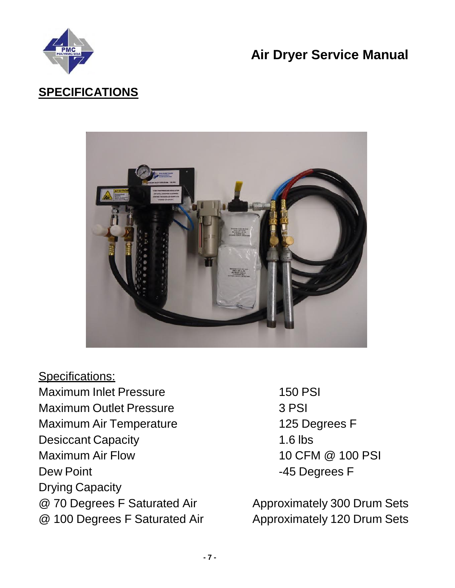

## <span id="page-6-0"></span>**SPECIFICATIONS**



- Specifications: Maximum Inlet Pressure 150 PSI Maximum Outlet Pressure **3 PSI** Maximum Air Temperature 125 Degrees F Desiccant Capacity 1.6 lbs Maximum Air Flow 10 CFM @ 100 PSI Dew Point **Dew Point 2008** Drying Capacity
	-

@ 70 Degrees F Saturated Air Approximately 300 Drum Sets @ 100 Degrees F Saturated Air Approximately 120 Drum Sets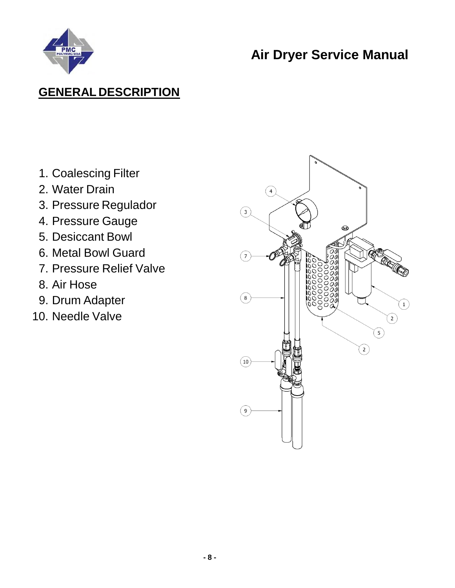

### <span id="page-7-0"></span>**GENERAL DESCRIPTION**

- 1. Coalescing Filter
- 2. Water Drain
- 3. Pressure Regulador
- 4. Pressure Gauge
- 5. Desiccant Bowl
- 6. Metal Bowl Guard
- 7. Pressure Relief Valve
- 8. Air Hose
- 9. Drum Adapter
- 10. Needle Valve

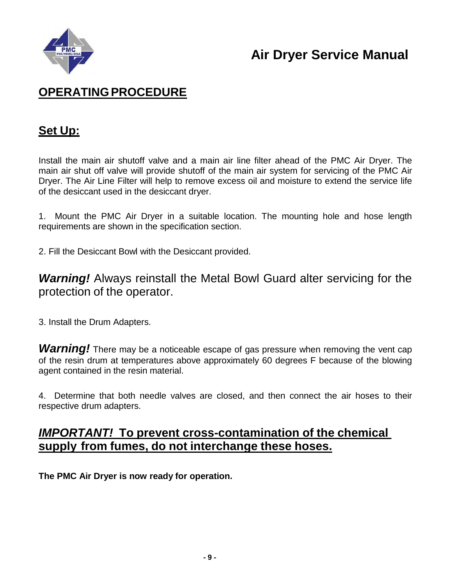

### <span id="page-8-0"></span>**OPERATINGPROCEDURE**

#### **Set Up:**

Install the main air shutoff valve and a main air line filter ahead of the PMC Air Dryer. The main air shut off valve will provide shutoff of the main air system for servicing of the PMC Air Dryer. The Air Line Filter will help to remove excess oil and moisture to extend the service life of the desiccant used in the desiccant dryer.

1. Mount the PMC Air Dryer in a suitable location. The mounting hole and hose length requirements are shown in the specification section.

2. Fill the Desiccant Bowl with the Desiccant provided.

*Warning!* Always reinstall the Metal Bowl Guard alter servicing for the protection of the operator.

3. Install the Drum Adapters.

**Warning!** There may be a noticeable escape of gas pressure when removing the vent cap of the resin drum at temperatures above approximately 60 degrees F because of the blowing agent contained in the resin material.

4. Determine that both needle valves are closed, and then connect the air hoses to their respective drum adapters.

#### *IMPORTANT!* **To prevent cross-contamination of the chemical supply from fumes, do not interchange these hoses.**

**The PMC Air Dryer is now ready for operation.**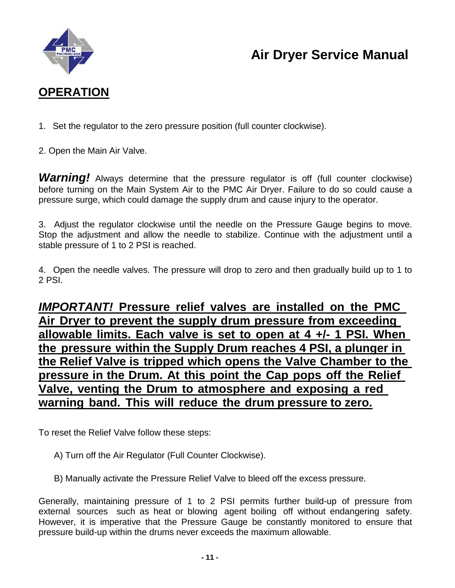

### <span id="page-9-0"></span>**OPERATION**

- 1. Set the regulator to the zero pressure position (full counter clockwise).
- 2. Open the Main Air Valve.

**Warning!** Always determine that the pressure regulator is off (full counter clockwise) before turning on the Main System Air to the PMC Air Dryer. Failure to do so could cause a pressure surge, which could damage the supply drum and cause injury to the operator.

3. Adjust the regulator clockwise until the needle on the Pressure Gauge begins to move. Stop the adjustment and allow the needle to stabilize. Continue with the adjustment until a stable pressure of 1 to 2 PSI is reached.

4. Open the needle valves. The pressure will drop to zero and then gradually build up to 1 to 2 PSI.

*IMPORTANT!* **Pressure relief valves are installed on the PMC Air Dryer to prevent the supply drum pressure from exceeding allowable limits. Each valve is set to open at 4 +/- 1 PSI. When the pressure within the Supply Drum reaches 4 PSI, a plunger in the Relief Valve is tripped which opens the Valve Chamber to the pressure in the Drum. At this point the Cap pops off the Relief Valve, venting the Drum to atmosphere and exposing a red warning band. This will reduce the drum pressure to zero.**

To reset the Relief Valve follow these steps:

- A) Turn off the Air Regulator (Full Counter Clockwise).
- B) Manually activate the Pressure Relief Valve to bleed off the excess pressure.

Generally, maintaining pressure of 1 to 2 PSI permits further build-up of pressure from external sources such as heat or blowing agent boiling off without endangering safety. However, it is imperative that the Pressure Gauge be constantly monitored to ensure that pressure build-up within the drums never exceeds the maximum allowable.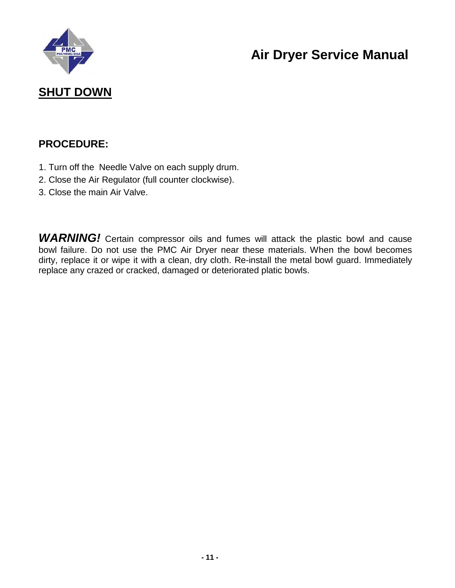

### <span id="page-10-0"></span>**SHUT DOWN**

#### **PROCEDURE:**

- 1. Turn off the Needle Valve on each supply drum.
- 2. Close the Air Regulator (full counter clockwise).
- 3. Close the main Air Valve.

**WARNING!** Certain compressor oils and fumes will attack the plastic bowl and cause bowl failure. Do not use the PMC Air Dryer near these materials. When the bowl becomes dirty, replace it or wipe it with a clean, dry cloth. Re-install the metal bowl guard. Immediately replace any crazed or cracked, damaged or deteriorated platic bowls.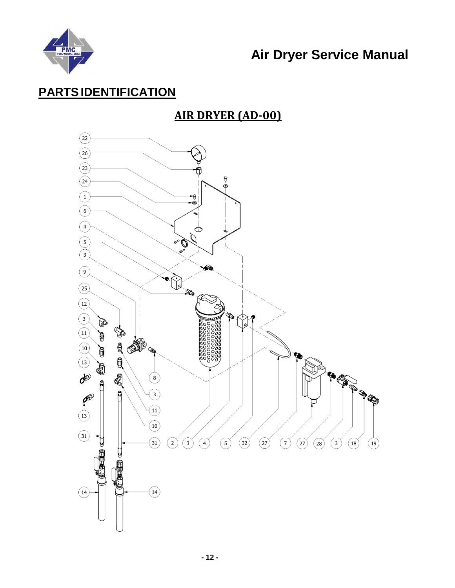

### <span id="page-11-1"></span><span id="page-11-0"></span>**PARTSIDENTIFICATION**

### **AIR DRYER (AD-00)**

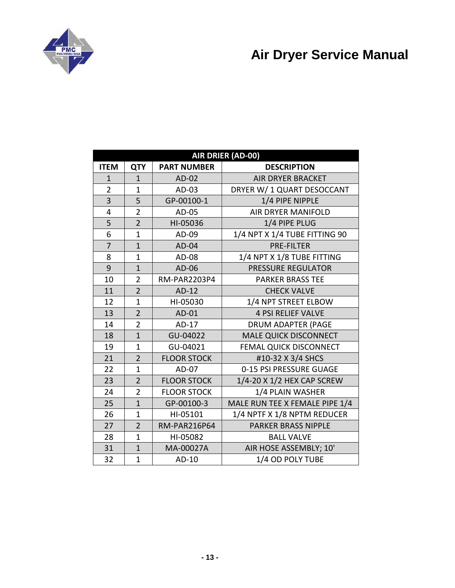

| AIR DRIER (AD-00) |                |                     |                                |  |  |  |  |
|-------------------|----------------|---------------------|--------------------------------|--|--|--|--|
| <b>ITEM</b>       | <b>QTY</b>     | <b>PART NUMBER</b>  | <b>DESCRIPTION</b>             |  |  |  |  |
| $\mathbf{1}$      | $\mathbf{1}$   | AD-02               | <b>AIR DRYER BRACKET</b>       |  |  |  |  |
| $\overline{2}$    | $\mathbf{1}$   | AD-03               | DRYER W/ 1 QUART DESOCCANT     |  |  |  |  |
| 3                 | 5              | GP-00100-1          | 1/4 PIPE NIPPLE                |  |  |  |  |
| 4                 | $\overline{2}$ | AD-05               | <b>AIR DRYER MANIFOLD</b>      |  |  |  |  |
| 5                 | $\overline{2}$ | HI-05036            | 1/4 PIPE PLUG                  |  |  |  |  |
| 6                 | $\mathbf{1}$   | AD-09               | 1/4 NPT X 1/4 TUBE FITTING 90  |  |  |  |  |
| $\overline{7}$    | $\mathbf{1}$   | AD-04               | <b>PRE-FILTER</b>              |  |  |  |  |
| 8                 | $\mathbf{1}$   | AD-08               | 1/4 NPT X 1/8 TUBE FITTING     |  |  |  |  |
| 9                 | $\mathbf{1}$   | AD-06               | <b>PRESSURE REGULATOR</b>      |  |  |  |  |
| 10                | $\overline{2}$ | <b>RM-PAR2203P4</b> | <b>PARKER BRASS TEE</b>        |  |  |  |  |
| 11                | $\overline{2}$ | AD-12               | <b>CHECK VALVE</b>             |  |  |  |  |
| 12                | $\mathbf{1}$   | HI-05030            | 1/4 NPT STREET ELBOW           |  |  |  |  |
| 13                | $\overline{2}$ | AD-01               | <b>4 PSI RELIEF VALVE</b>      |  |  |  |  |
| 14                | $\overline{2}$ | AD-17               | <b>DRUM ADAPTER (PAGE</b>      |  |  |  |  |
| 18                | $\mathbf{1}$   | GU-04022            | <b>MALE QUICK DISCONNECT</b>   |  |  |  |  |
| 19                | $\mathbf{1}$   | GU-04021            | <b>FEMAL QUICK DISCONNECT</b>  |  |  |  |  |
| 21                | $\overline{2}$ | <b>FLOOR STOCK</b>  | #10-32 X 3/4 SHCS              |  |  |  |  |
| 22                | $\mathbf{1}$   | AD-07               | 0-15 PSI PRESSURE GUAGE        |  |  |  |  |
| 23                | $\overline{2}$ | <b>FLOOR STOCK</b>  | 1/4-20 X 1/2 HEX CAP SCREW     |  |  |  |  |
| 24                | $\overline{2}$ | <b>FLOOR STOCK</b>  | 1/4 PLAIN WASHER               |  |  |  |  |
| 25                | $\mathbf{1}$   | GP-00100-3          | MALE RUN TEE X FEMALE PIPE 1/4 |  |  |  |  |
| 26                | $\mathbf{1}$   | HI-05101            | 1/4 NPTF X 1/8 NPTM REDUCER    |  |  |  |  |
| 27                | $\overline{2}$ | <b>RM-PAR216P64</b> | <b>PARKER BRASS NIPPLE</b>     |  |  |  |  |
| 28                | $\mathbf{1}$   | HI-05082            | <b>BALL VALVE</b>              |  |  |  |  |
| 31                | $\mathbf{1}$   | MA-00027A           | AIR HOSE ASSEMBLY; 10'         |  |  |  |  |
| 32                | $\mathbf{1}$   | AD-10               | 1/4 OD POLY TUBE               |  |  |  |  |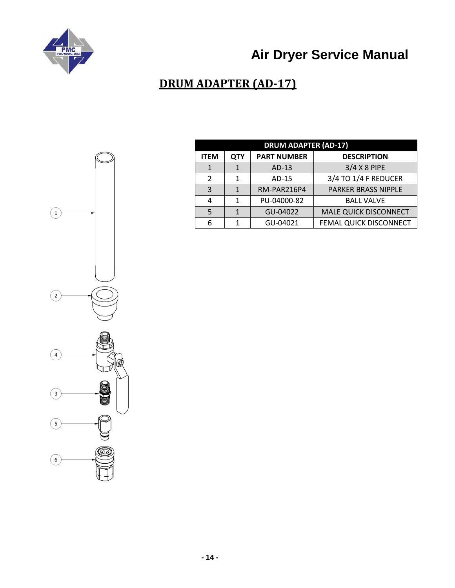<span id="page-13-0"></span>

### **DRUM ADAPTER (AD-17)**

| <b>DRUM ADAPTER (AD-17)</b> |     |                    |                              |  |  |
|-----------------------------|-----|--------------------|------------------------------|--|--|
| <b>ITEM</b>                 | QTY | <b>PART NUMBER</b> | <b>DESCRIPTION</b>           |  |  |
| 1                           |     | $AD-13$            | 3/4 X 8 PIPE                 |  |  |
| 2                           |     | AD-15              | 3/4 TO 1/4 F REDUCER         |  |  |
| 3                           |     | RM-PAR216P4        | PARKER BRASS NIPPLE          |  |  |
| 4                           |     | PU-04000-82        | <b>BALL VALVE</b>            |  |  |
| 5                           |     | GU-04022           | <b>MALE QUICK DISCONNECT</b> |  |  |
|                             |     | GU-04021           | FEMAL QUICK DISCONNECT       |  |  |